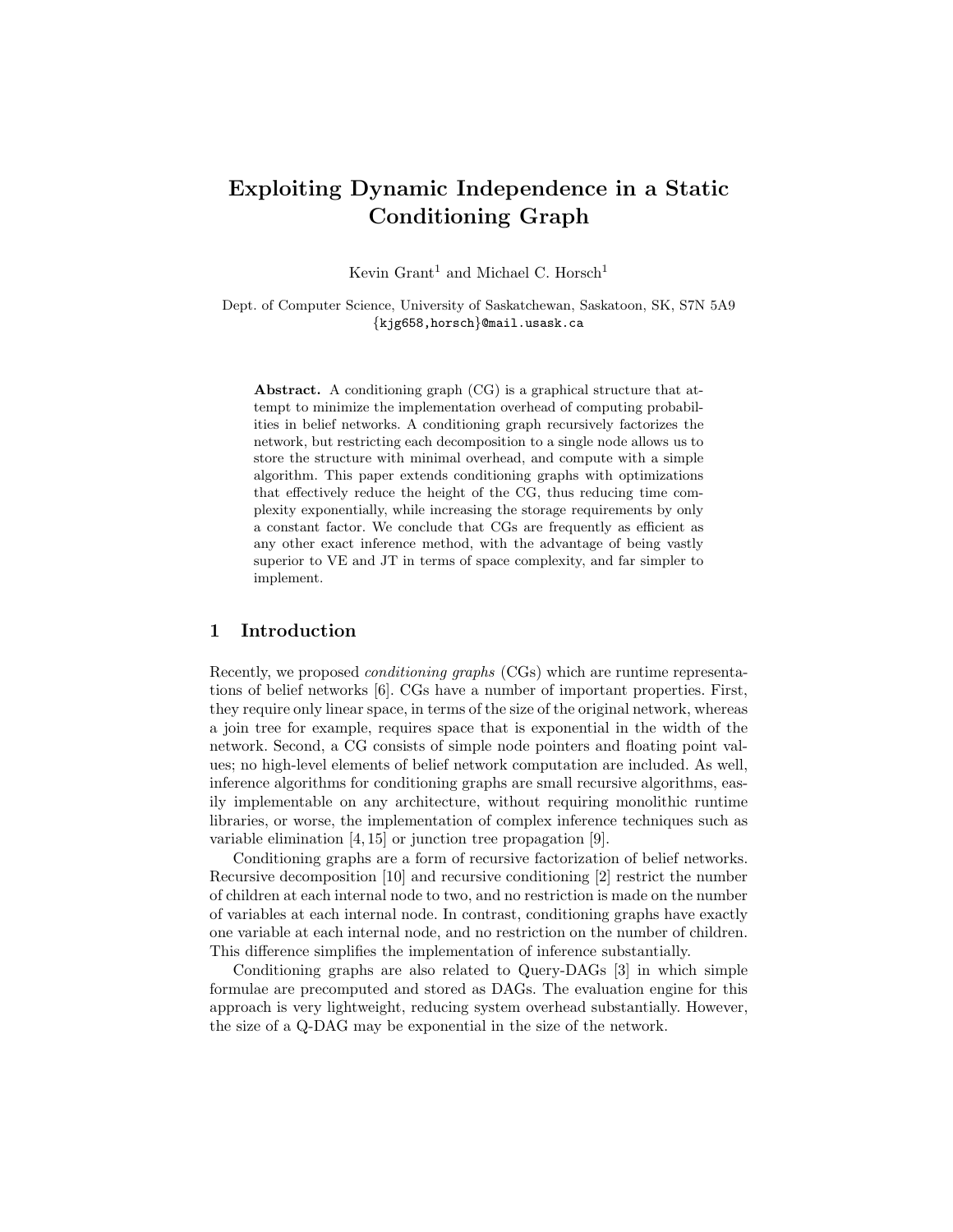# Exploiting Dynamic Independence in a Static Conditioning Graph

Kevin Grant<sup>1</sup> and Michael C. Horsch<sup>1</sup>

Dept. of Computer Science, University of Saskatchewan, Saskatoon, SK, S7N 5A9 {kjg658,horsch}@mail.usask.ca

Abstract. A conditioning graph (CG) is a graphical structure that attempt to minimize the implementation overhead of computing probabilities in belief networks. A conditioning graph recursively factorizes the network, but restricting each decomposition to a single node allows us to store the structure with minimal overhead, and compute with a simple algorithm. This paper extends conditioning graphs with optimizations that effectively reduce the height of the CG, thus reducing time complexity exponentially, while increasing the storage requirements by only a constant factor. We conclude that CGs are frequently as efficient as any other exact inference method, with the advantage of being vastly superior to VE and JT in terms of space complexity, and far simpler to implement.

## 1 Introduction

Recently, we proposed conditioning graphs (CGs) which are runtime representations of belief networks [6]. CGs have a number of important properties. First, they require only linear space, in terms of the size of the original network, whereas a join tree for example, requires space that is exponential in the width of the network. Second, a CG consists of simple node pointers and floating point values; no high-level elements of belief network computation are included. As well, inference algorithms for conditioning graphs are small recursive algorithms, easily implementable on any architecture, without requiring monolithic runtime libraries, or worse, the implementation of complex inference techniques such as variable elimination [4, 15] or junction tree propagation [9].

Conditioning graphs are a form of recursive factorization of belief networks. Recursive decomposition [10] and recursive conditioning [2] restrict the number of children at each internal node to two, and no restriction is made on the number of variables at each internal node. In contrast, conditioning graphs have exactly one variable at each internal node, and no restriction on the number of children. This difference simplifies the implementation of inference substantially.

Conditioning graphs are also related to Query-DAGs [3] in which simple formulae are precomputed and stored as DAGs. The evaluation engine for this approach is very lightweight, reducing system overhead substantially. However, the size of a Q-DAG may be exponential in the size of the network.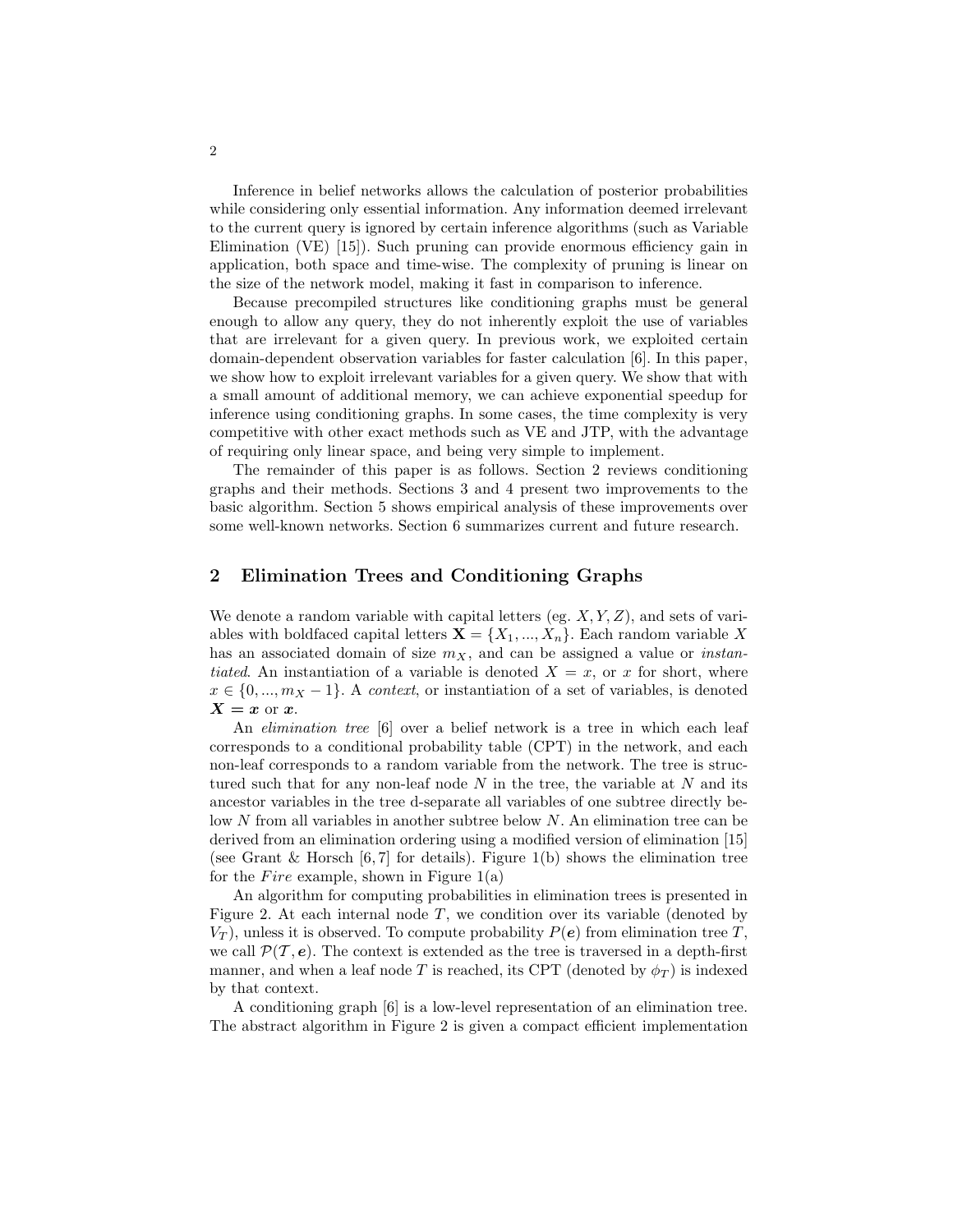Inference in belief networks allows the calculation of posterior probabilities while considering only essential information. Any information deemed irrelevant to the current query is ignored by certain inference algorithms (such as Variable Elimination (VE) [15]). Such pruning can provide enormous efficiency gain in application, both space and time-wise. The complexity of pruning is linear on the size of the network model, making it fast in comparison to inference.

Because precompiled structures like conditioning graphs must be general enough to allow any query, they do not inherently exploit the use of variables that are irrelevant for a given query. In previous work, we exploited certain domain-dependent observation variables for faster calculation [6]. In this paper, we show how to exploit irrelevant variables for a given query. We show that with a small amount of additional memory, we can achieve exponential speedup for inference using conditioning graphs. In some cases, the time complexity is very competitive with other exact methods such as VE and JTP, with the advantage of requiring only linear space, and being very simple to implement.

The remainder of this paper is as follows. Section 2 reviews conditioning graphs and their methods. Sections 3 and 4 present two improvements to the basic algorithm. Section 5 shows empirical analysis of these improvements over some well-known networks. Section 6 summarizes current and future research.

### 2 Elimination Trees and Conditioning Graphs

We denote a random variable with capital letters (eg.  $X, Y, Z$ ), and sets of variables with boldfaced capital letters  $\mathbf{X} = \{X_1, ..., X_n\}$ . Each random variable X has an associated domain of size  $m_X$ , and can be assigned a value or *instan*tiated. An instantiation of a variable is denoted  $X = x$ , or x for short, where  $x \in \{0, ..., m_X - 1\}$ . A context, or instantiation of a set of variables, is denoted  $X = x$  or  $x$ .

An *elimination tree* [6] over a belief network is a tree in which each leaf corresponds to a conditional probability table (CPT) in the network, and each non-leaf corresponds to a random variable from the network. The tree is structured such that for any non-leaf node  $N$  in the tree, the variable at  $N$  and its ancestor variables in the tree d-separate all variables of one subtree directly below N from all variables in another subtree below N. An elimination tree can be derived from an elimination ordering using a modified version of elimination [15] (see Grant & Horsch [6,7] for details). Figure  $1(b)$  shows the elimination tree for the *Fire* example, shown in Figure  $1(a)$ 

An algorithm for computing probabilities in elimination trees is presented in Figure 2. At each internal node  $T$ , we condition over its variable (denoted by  $V_T$ ), unless it is observed. To compute probability  $P(e)$  from elimination tree T, we call  $\mathcal{P}(\mathcal{T}, e)$ . The context is extended as the tree is traversed in a depth-first manner, and when a leaf node T is reached, its CPT (denoted by  $\phi_T$ ) is indexed by that context.

A conditioning graph [6] is a low-level representation of an elimination tree. The abstract algorithm in Figure 2 is given a compact efficient implementation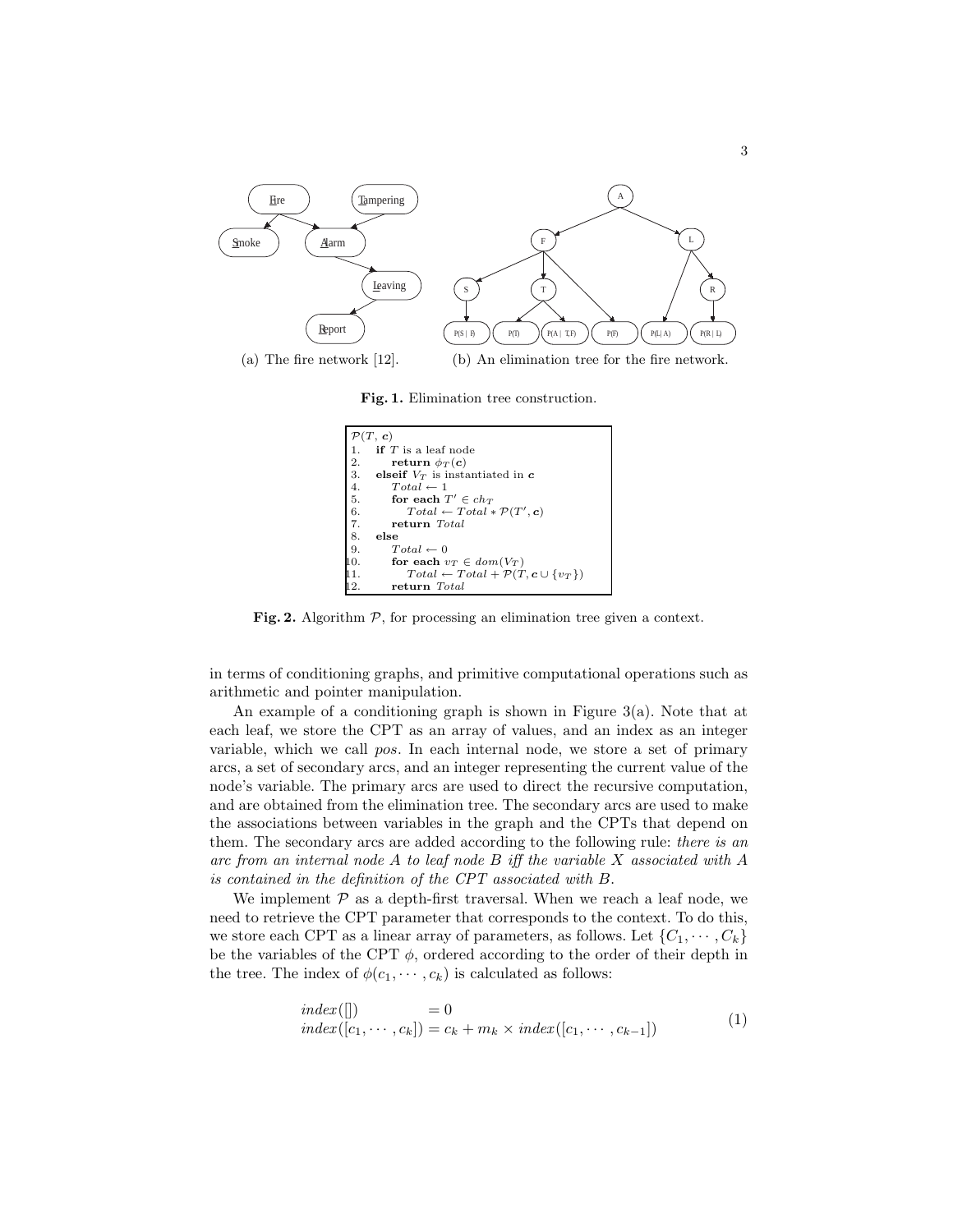

Fig. 1. Elimination tree construction.



Fig. 2. Algorithm  $P$ , for processing an elimination tree given a context.

in terms of conditioning graphs, and primitive computational operations such as arithmetic and pointer manipulation.

An example of a conditioning graph is shown in Figure 3(a). Note that at each leaf, we store the CPT as an array of values, and an index as an integer variable, which we call pos. In each internal node, we store a set of primary arcs, a set of secondary arcs, and an integer representing the current value of the node's variable. The primary arcs are used to direct the recursive computation, and are obtained from the elimination tree. The secondary arcs are used to make the associations between variables in the graph and the CPTs that depend on them. The secondary arcs are added according to the following rule: *there is an* arc from an internal node A to leaf node B iff the variable X associated with A is contained in the definition of the CPT associated with B.

We implement  $P$  as a depth-first traversal. When we reach a leaf node, we need to retrieve the CPT parameter that corresponds to the context. To do this, we store each CPT as a linear array of parameters, as follows. Let  $\{C_1, \dots, C_k\}$ be the variables of the CPT  $\phi$ , ordered according to the order of their depth in the tree. The index of  $\phi(c_1, \dots, c_k)$  is calculated as follows:

$$
index([\n]) = 0
$$
  
\n
$$
index([c_1, \cdots, c_k]) = c_k + m_k \times index([c_1, \cdots, c_{k-1}])
$$
\n(1)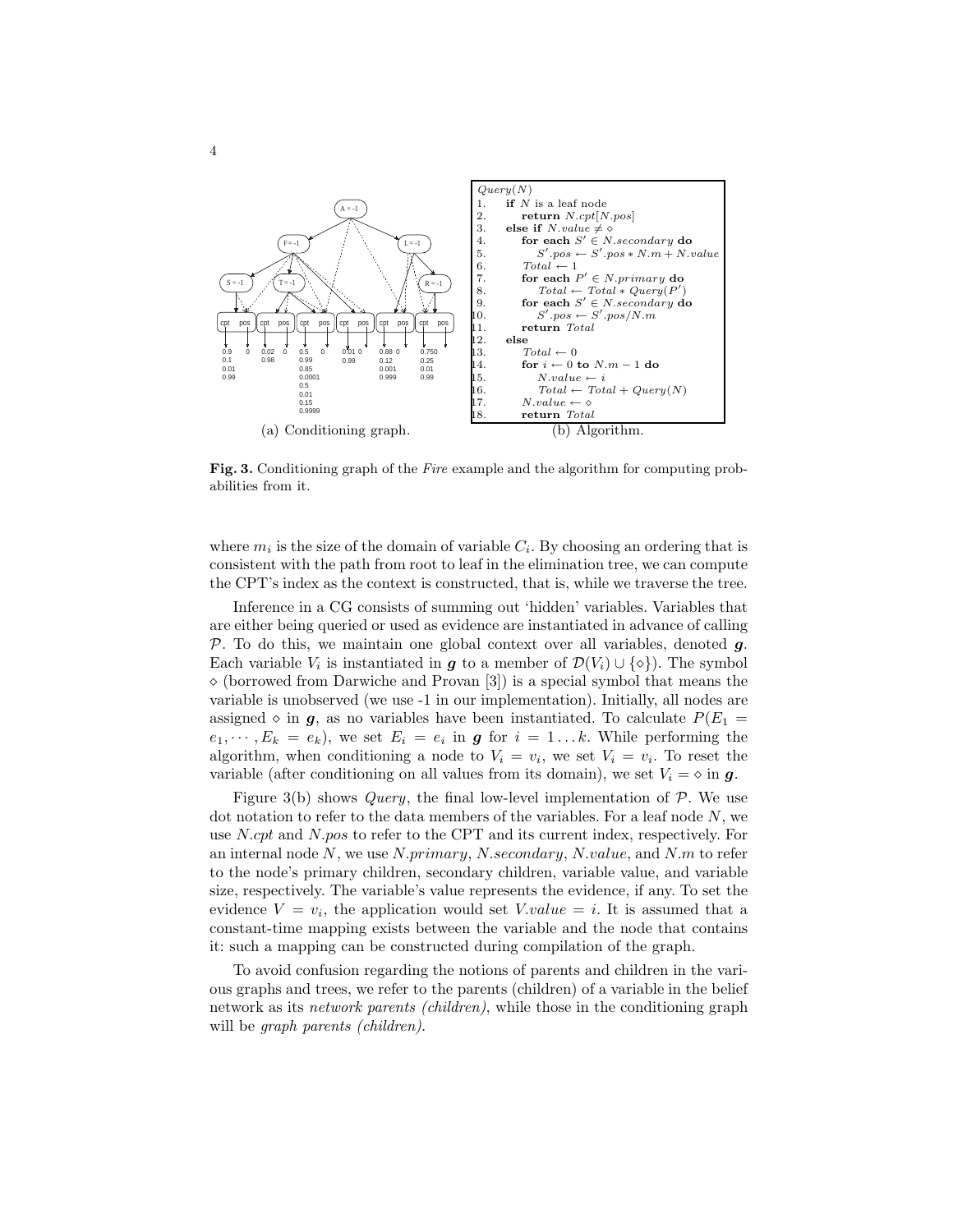

Fig. 3. Conditioning graph of the Fire example and the algorithm for computing probabilities from it.

where  $m_i$  is the size of the domain of variable  $C_i$ . By choosing an ordering that is consistent with the path from root to leaf in the elimination tree, we can compute the CPT's index as the context is constructed, that is, while we traverse the tree.

Inference in a CG consists of summing out 'hidden' variables. Variables that are either being queried or used as evidence are instantiated in advance of calling  $\mathcal{P}$ . To do this, we maintain one global context over all variables, denoted  $q$ . Each variable  $V_i$  is instantiated in  $g$  to a member of  $\mathcal{D}(V_i) \cup \{ \diamond \}$ . The symbol  $\Diamond$  (borrowed from Darwiche and Provan [3]) is a special symbol that means the variable is unobserved (we use -1 in our implementation). Initially, all nodes are assigned  $\diamond$  in  $g$ , as no variables have been instantiated. To calculate  $P(E_1 =$  $(e_1, \dots, E_k = e_k)$ , we set  $E_i = e_i$  in **g** for  $i = 1 \dots k$ . While performing the algorithm, when conditioning a node to  $V_i = v_i$ , we set  $V_i = v_i$ . To reset the variable (after conditioning on all values from its domain), we set  $V_i = \infty$  in q.

Figure 3(b) shows *Query*, the final low-level implementation of  $\mathcal{P}$ . We use dot notation to refer to the data members of the variables. For a leaf node  $N$ , we use N.cpt and N.pos to refer to the CPT and its current index, respectively. For an internal node N, we use N.primary, N.secondary, N.value, and N.m to refer to the node's primary children, secondary children, variable value, and variable size, respectively. The variable's value represents the evidence, if any. To set the evidence  $V = v_i$ , the application would set  $V.value = i$ . It is assumed that a constant-time mapping exists between the variable and the node that contains it: such a mapping can be constructed during compilation of the graph.

To avoid confusion regarding the notions of parents and children in the various graphs and trees, we refer to the parents (children) of a variable in the belief network as its network parents (children), while those in the conditioning graph will be *graph parents (children)*.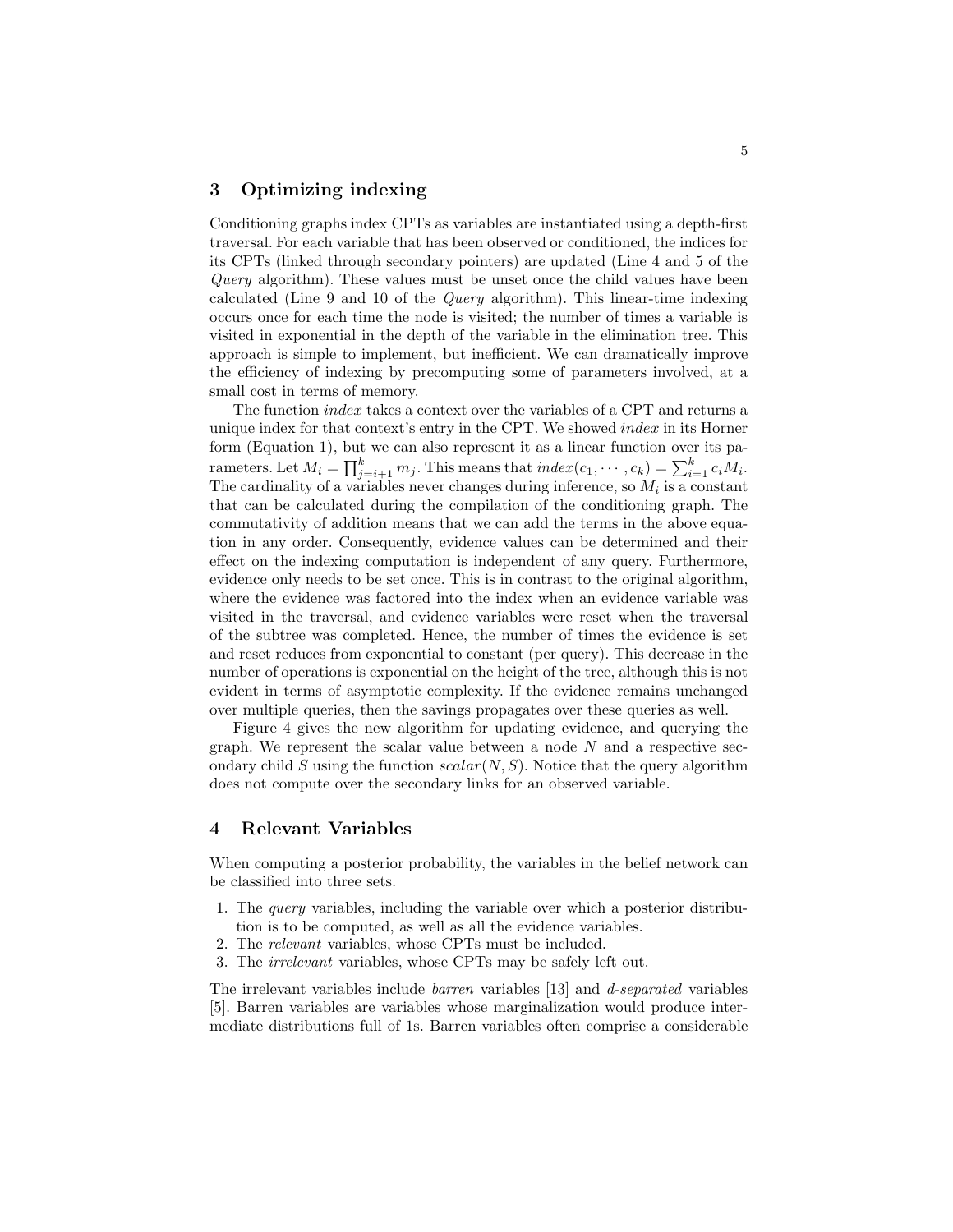# 3 Optimizing indexing

Conditioning graphs index CPTs as variables are instantiated using a depth-first traversal. For each variable that has been observed or conditioned, the indices for its CPTs (linked through secondary pointers) are updated (Line 4 and 5 of the Query algorithm). These values must be unset once the child values have been calculated (Line 9 and 10 of the Query algorithm). This linear-time indexing occurs once for each time the node is visited; the number of times a variable is visited in exponential in the depth of the variable in the elimination tree. This approach is simple to implement, but inefficient. We can dramatically improve the efficiency of indexing by precomputing some of parameters involved, at a small cost in terms of memory.

The function *index* takes a context over the variables of a CPT and returns a unique index for that context's entry in the CPT. We showed *index* in its Horner form (Equation 1), but we can also represent it as a linear function over its parameters. Let  $M_i = \prod_{j=i+1}^{k} m_j$ . This means that  $index(c_1, \dots, c_k) = \sum_{i=1}^{k} c_i M_i$ . The cardinality of a variables never changes during inference, so  $M_i$  is a constant that can be calculated during the compilation of the conditioning graph. The commutativity of addition means that we can add the terms in the above equation in any order. Consequently, evidence values can be determined and their effect on the indexing computation is independent of any query. Furthermore, evidence only needs to be set once. This is in contrast to the original algorithm, where the evidence was factored into the index when an evidence variable was visited in the traversal, and evidence variables were reset when the traversal of the subtree was completed. Hence, the number of times the evidence is set and reset reduces from exponential to constant (per query). This decrease in the number of operations is exponential on the height of the tree, although this is not evident in terms of asymptotic complexity. If the evidence remains unchanged over multiple queries, then the savings propagates over these queries as well.

Figure 4 gives the new algorithm for updating evidence, and querying the graph. We represent the scalar value between a node  $N$  and a respective secondary child S using the function  $scalar(N, S)$ . Notice that the query algorithm does not compute over the secondary links for an observed variable.

#### 4 Relevant Variables

When computing a posterior probability, the variables in the belief network can be classified into three sets.

- 1. The query variables, including the variable over which a posterior distribution is to be computed, as well as all the evidence variables.
- 2. The relevant variables, whose CPTs must be included.
- 3. The irrelevant variables, whose CPTs may be safely left out.

The irrelevant variables include barren variables [13] and d-separated variables [5]. Barren variables are variables whose marginalization would produce intermediate distributions full of 1s. Barren variables often comprise a considerable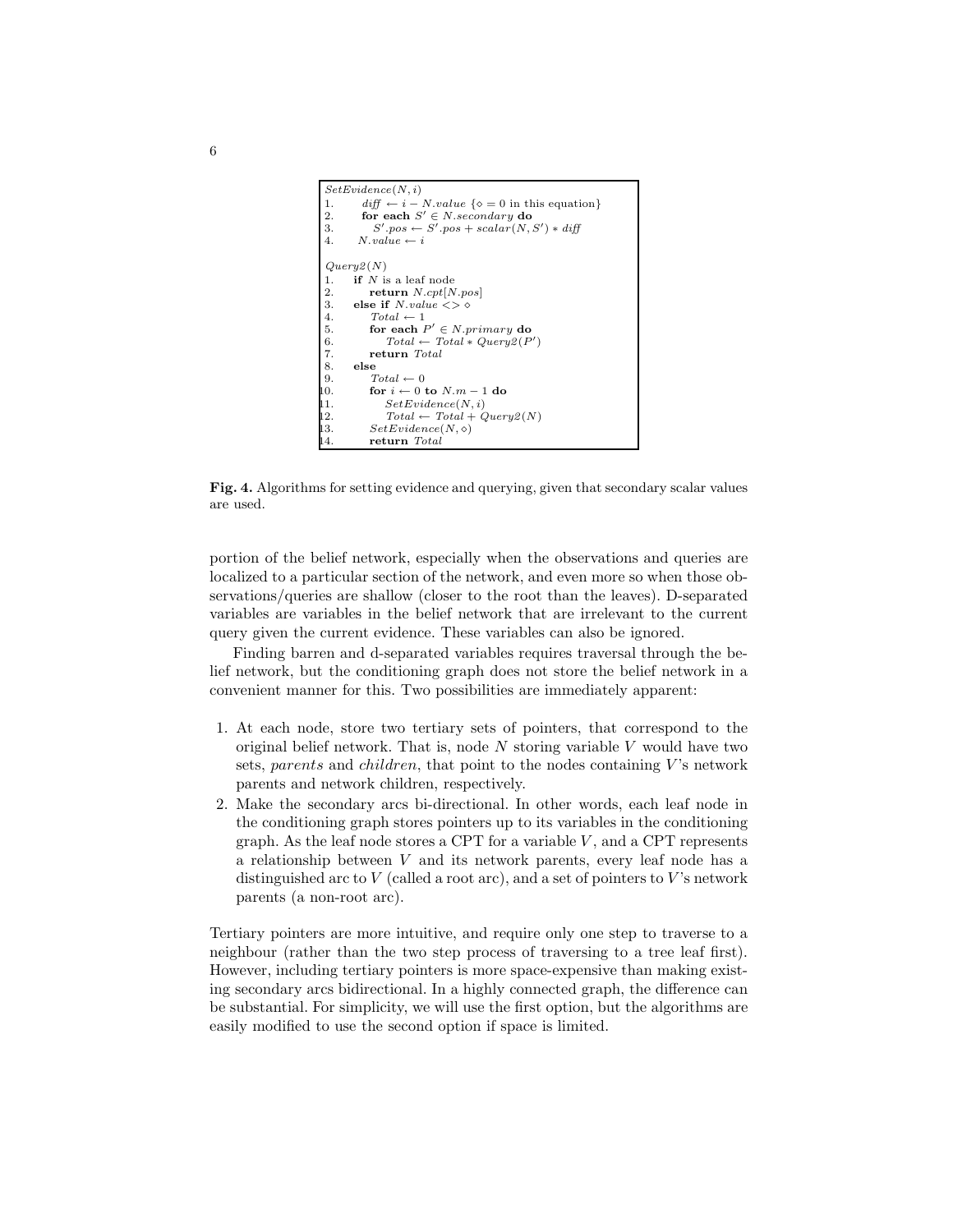![](_page_5_Figure_0.jpeg)

Fig. 4. Algorithms for setting evidence and querying, given that secondary scalar values are used.

portion of the belief network, especially when the observations and queries are localized to a particular section of the network, and even more so when those observations/queries are shallow (closer to the root than the leaves). D-separated variables are variables in the belief network that are irrelevant to the current query given the current evidence. These variables can also be ignored.

Finding barren and d-separated variables requires traversal through the belief network, but the conditioning graph does not store the belief network in a convenient manner for this. Two possibilities are immediately apparent:

- 1. At each node, store two tertiary sets of pointers, that correspond to the original belief network. That is, node  $N$  storing variable  $V$  would have two sets, parents and children, that point to the nodes containing  $V$ 's network parents and network children, respectively.
- 2. Make the secondary arcs bi-directional. In other words, each leaf node in the conditioning graph stores pointers up to its variables in the conditioning graph. As the leaf node stores a CPT for a variable  $V$ , and a CPT represents a relationship between V and its network parents, every leaf node has a distinguished arc to V (called a root arc), and a set of pointers to V's network parents (a non-root arc).

Tertiary pointers are more intuitive, and require only one step to traverse to a neighbour (rather than the two step process of traversing to a tree leaf first). However, including tertiary pointers is more space-expensive than making existing secondary arcs bidirectional. In a highly connected graph, the difference can be substantial. For simplicity, we will use the first option, but the algorithms are easily modified to use the second option if space is limited.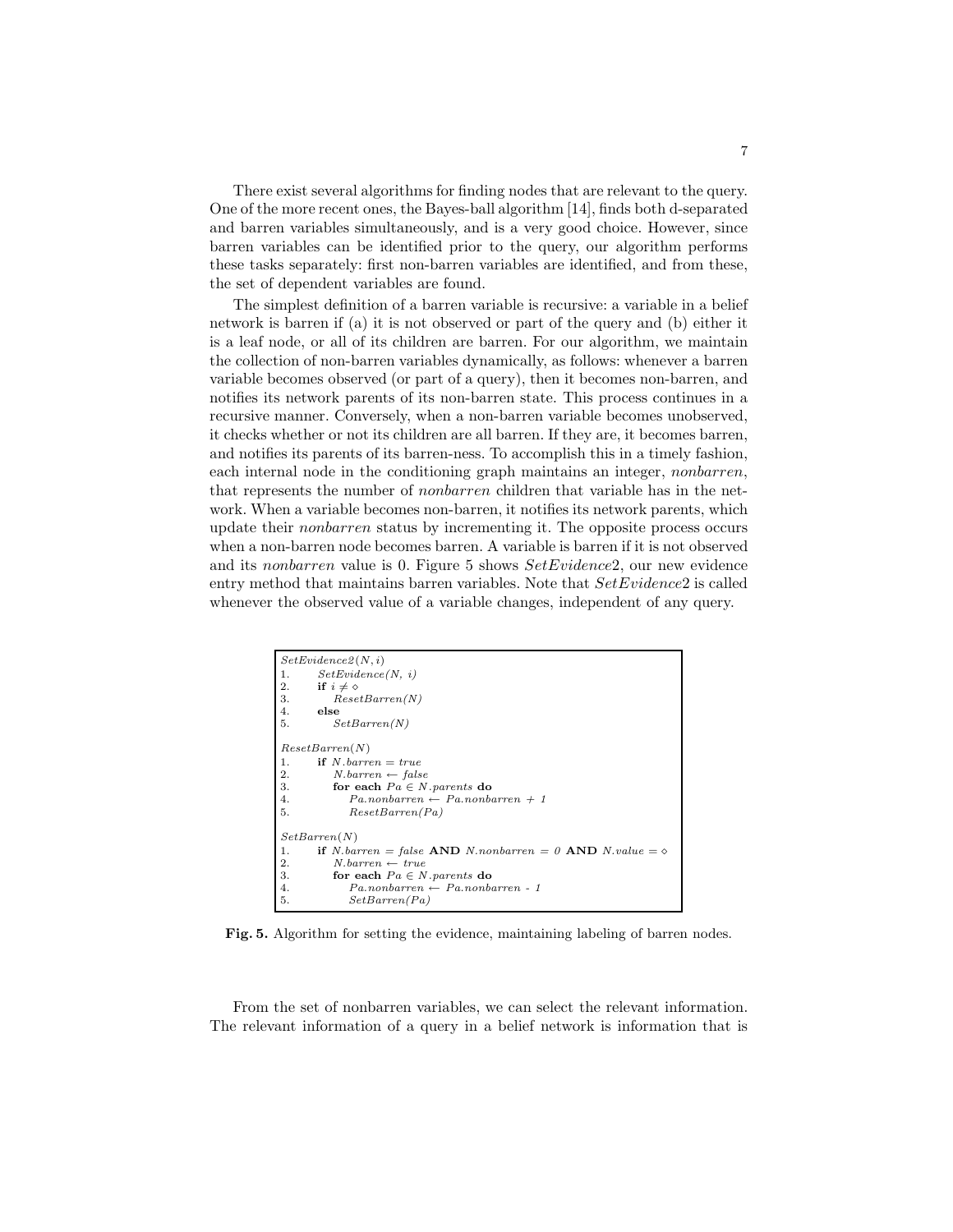There exist several algorithms for finding nodes that are relevant to the query. One of the more recent ones, the Bayes-ball algorithm [14], finds both d-separated and barren variables simultaneously, and is a very good choice. However, since barren variables can be identified prior to the query, our algorithm performs these tasks separately: first non-barren variables are identified, and from these, the set of dependent variables are found.

The simplest definition of a barren variable is recursive: a variable in a belief network is barren if (a) it is not observed or part of the query and (b) either it is a leaf node, or all of its children are barren. For our algorithm, we maintain the collection of non-barren variables dynamically, as follows: whenever a barren variable becomes observed (or part of a query), then it becomes non-barren, and notifies its network parents of its non-barren state. This process continues in a recursive manner. Conversely, when a non-barren variable becomes unobserved, it checks whether or not its children are all barren. If they are, it becomes barren, and notifies its parents of its barren-ness. To accomplish this in a timely fashion, each internal node in the conditioning graph maintains an integer, nonbarren, that represents the number of nonbarren children that variable has in the network. When a variable becomes non-barren, it notifies its network parents, which update their nonbarren status by incrementing it. The opposite process occurs when a non-barren node becomes barren. A variable is barren if it is not observed and its nonbarren value is 0. Figure 5 shows SetEvidence2, our new evidence entry method that maintains barren variables. Note that  $SetEvidence2$  is called whenever the observed value of a variable changes, independent of any query.

![](_page_6_Figure_2.jpeg)

Fig. 5. Algorithm for setting the evidence, maintaining labeling of barren nodes.

From the set of nonbarren variables, we can select the relevant information. The relevant information of a query in a belief network is information that is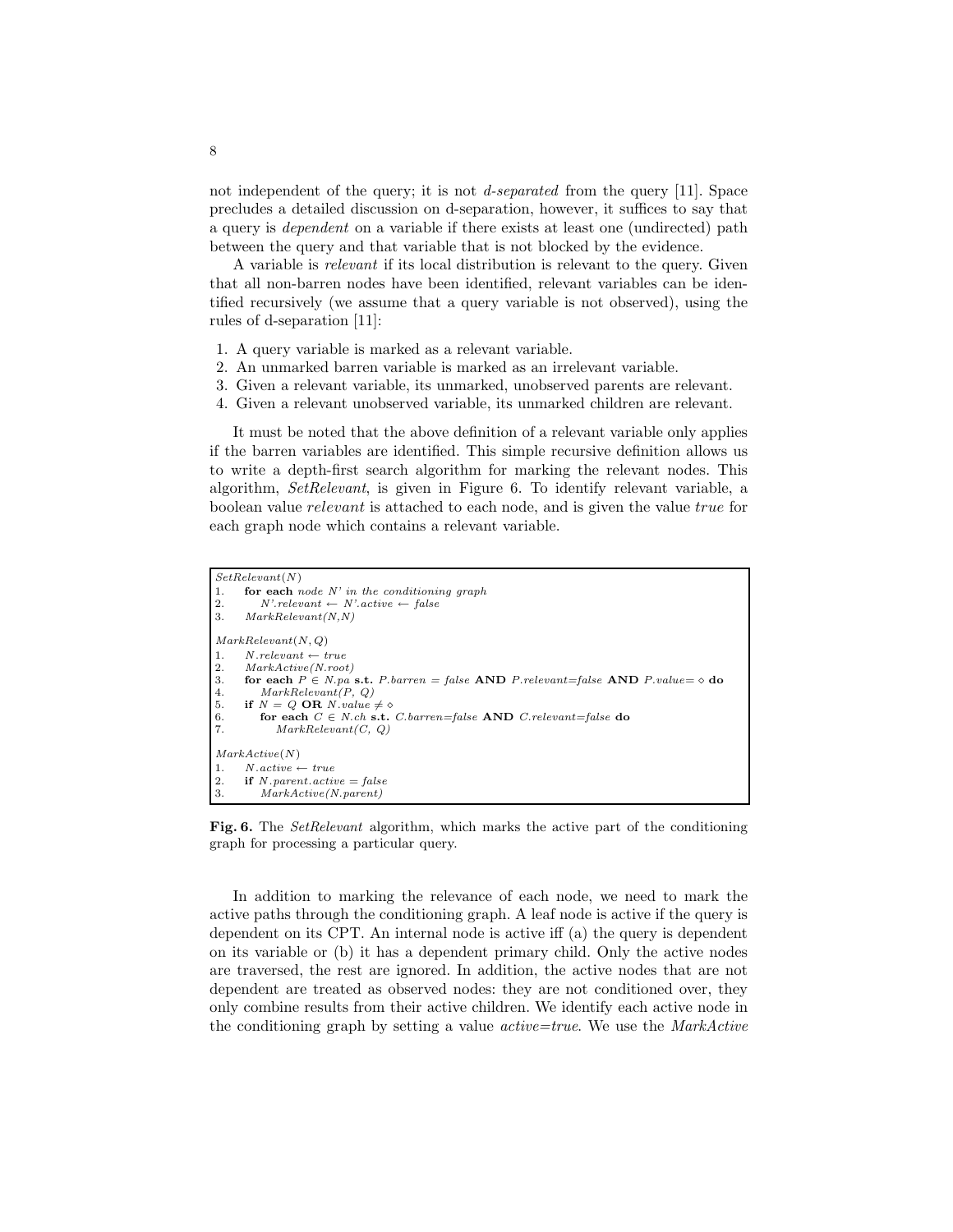not independent of the query; it is not *d-separated* from the query [11]. Space precludes a detailed discussion on d-separation, however, it suffices to say that a query is dependent on a variable if there exists at least one (undirected) path between the query and that variable that is not blocked by the evidence.

A variable is relevant if its local distribution is relevant to the query. Given that all non-barren nodes have been identified, relevant variables can be identified recursively (we assume that a query variable is not observed), using the rules of d-separation [11]:

- 1. A query variable is marked as a relevant variable.
- 2. An unmarked barren variable is marked as an irrelevant variable.
- 3. Given a relevant variable, its unmarked, unobserved parents are relevant.
- 4. Given a relevant unobserved variable, its unmarked children are relevant.

It must be noted that the above definition of a relevant variable only applies if the barren variables are identified. This simple recursive definition allows us to write a depth-first search algorithm for marking the relevant nodes. This algorithm, SetRelevant, is given in Figure 6. To identify relevant variable, a boolean value relevant is attached to each node, and is given the value true for each graph node which contains a relevant variable.

```
SetRelevant(N)1. for each node N' in the conditioning graph 2. N' relevant \leftarrow N' active \leftarrow false
2. N'.relevant \leftarrow N'.active \leftarrow false<br>3. MarkRelevant(N, N)MarkRelevant(N,N)MarkRelevant(N, Q)
1. N. relevant \leftarrow true2. MarkActive(N.root)
3. for each P \in N.pa s.t. P.barren = false AND P.relevant=false AND P.value= \diamond do 4. MarkRelevant(P. Q)
           MarkRelevant(P, Q)5. if N = Q OR N value \neq \infty<br>6. for each C \in N ch s.t.<br>7. MarkRelevant(C, Q)
           for each C \in N.ch s.t. C.barren = false AND C.relevant=false do
               MarkRelevant(C, Q)MarkActive(N)
1. N \text{.} active \leftarrow true2. if N.parent. active = false<br>3. MarkActive(N.parent)MarkActive(N.parent)
```
Fig. 6. The *SetRelevant* algorithm, which marks the active part of the conditioning graph for processing a particular query.

In addition to marking the relevance of each node, we need to mark the active paths through the conditioning graph. A leaf node is active if the query is dependent on its CPT. An internal node is active iff (a) the query is dependent on its variable or (b) it has a dependent primary child. Only the active nodes are traversed, the rest are ignored. In addition, the active nodes that are not dependent are treated as observed nodes: they are not conditioned over, they only combine results from their active children. We identify each active node in the conditioning graph by setting a value active=true. We use the MarkActive

8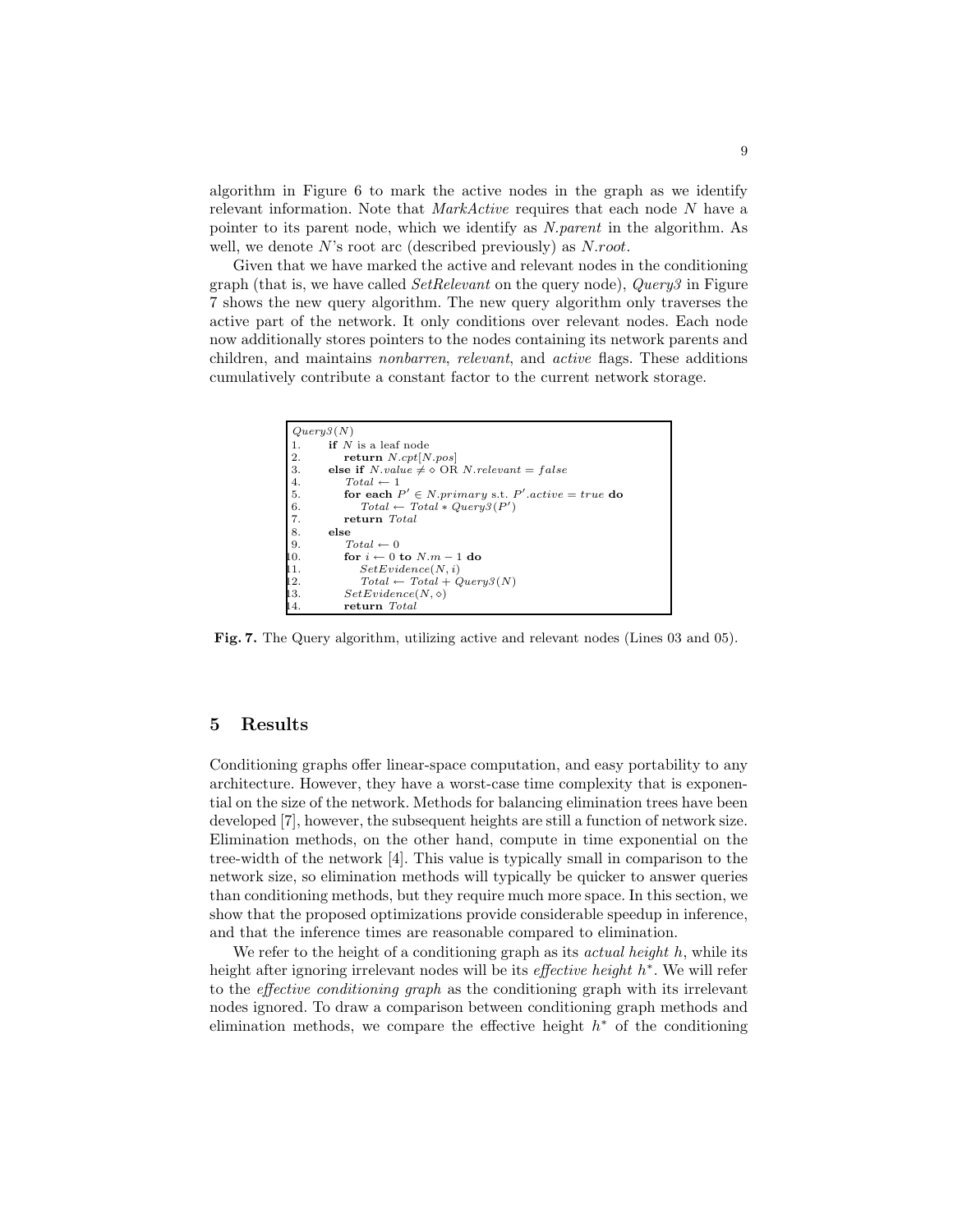algorithm in Figure 6 to mark the active nodes in the graph as we identify relevant information. Note that *MarkActive* requires that each node N have a pointer to its parent node, which we identify as N.parent in the algorithm. As well, we denote  $N$ 's root arc (described previously) as  $N. root$ .

Given that we have marked the active and relevant nodes in the conditioning graph (that is, we have called  $SetRelevant$  on the query node),  $Query 3$  in Figure 7 shows the new query algorithm. The new query algorithm only traverses the active part of the network. It only conditions over relevant nodes. Each node now additionally stores pointers to the nodes containing its network parents and children, and maintains nonbarren, relevant, and active flags. These additions cumulatively contribute a constant factor to the current network storage.

```
Query3(N)1. if N is a leaf node<br>2. return N.\text{c}vt \geq N2. return N.\text{cpt}[N.\text{pos}]<br>3. else if N.\text{value} \neq \emptyset OR
           else if N.value \neq \lozenge OR N.relevant = false4. Total \leftarrow 1<br>
5. for each I<br>
6. Total \leftarrow<br>
7. return To<br>
8. else<br>
9. Total \leftarrow 05. for each P' \in N primary s.t. P' active = true do
 6. Total \leftarrow Total * Query3(P')7. return Total
           else
               Total \leftarrow 010. for i \leftarrow 0 to N.m-1 do
11. SetEvidence(N, i)<br>12. Total \leftarrow Total + CTotal \leftarrow Total + Query3(N)13. SetEvidence(N, \diamond)14. return Total
```
Fig. 7. The Query algorithm, utilizing active and relevant nodes (Lines 03 and 05).

#### 5 Results

Conditioning graphs offer linear-space computation, and easy portability to any architecture. However, they have a worst-case time complexity that is exponential on the size of the network. Methods for balancing elimination trees have been developed [7], however, the subsequent heights are still a function of network size. Elimination methods, on the other hand, compute in time exponential on the tree-width of the network [4]. This value is typically small in comparison to the network size, so elimination methods will typically be quicker to answer queries than conditioning methods, but they require much more space. In this section, we show that the proposed optimizations provide considerable speedup in inference, and that the inference times are reasonable compared to elimination.

We refer to the height of a conditioning graph as its *actual height* h, while its height after ignoring irrelevant nodes will be its *effective height*  $h^*$ . We will refer to the effective conditioning graph as the conditioning graph with its irrelevant nodes ignored. To draw a comparison between conditioning graph methods and elimination methods, we compare the effective height  $h^*$  of the conditioning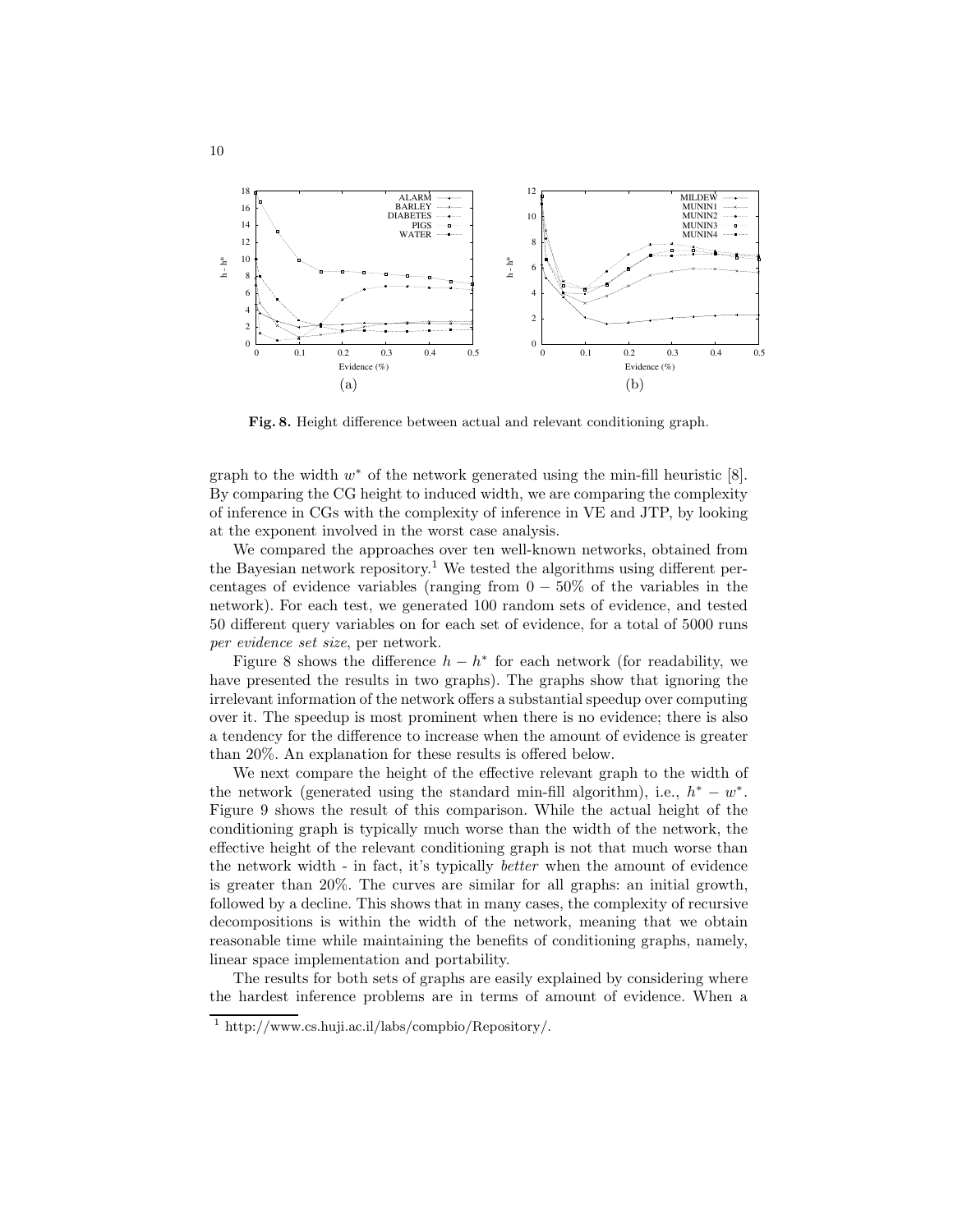![](_page_9_Figure_0.jpeg)

Fig. 8. Height difference between actual and relevant conditioning graph.

graph to the width  $w^*$  of the network generated using the min-fill heuristic  $[8]$ . By comparing the CG height to induced width, we are comparing the complexity of inference in CGs with the complexity of inference in VE and JTP, by looking at the exponent involved in the worst case analysis.

We compared the approaches over ten well-known networks, obtained from the Bayesian network repository.<sup>1</sup> We tested the algorithms using different percentages of evidence variables (ranging from  $0 - 50\%$  of the variables in the network). For each test, we generated 100 random sets of evidence, and tested 50 different query variables on for each set of evidence, for a total of 5000 runs per evidence set size, per network.

Figure 8 shows the difference  $h - h^*$  for each network (for readability, we have presented the results in two graphs). The graphs show that ignoring the irrelevant information of the network offers a substantial speedup over computing over it. The speedup is most prominent when there is no evidence; there is also a tendency for the difference to increase when the amount of evidence is greater than 20%. An explanation for these results is offered below.

We next compare the height of the effective relevant graph to the width of the network (generated using the standard min-fill algorithm), i.e.,  $h^* - w^*$ . Figure 9 shows the result of this comparison. While the actual height of the conditioning graph is typically much worse than the width of the network, the effective height of the relevant conditioning graph is not that much worse than the network width - in fact, it's typically better when the amount of evidence is greater than 20%. The curves are similar for all graphs: an initial growth, followed by a decline. This shows that in many cases, the complexity of recursive decompositions is within the width of the network, meaning that we obtain reasonable time while maintaining the benefits of conditioning graphs, namely, linear space implementation and portability.

The results for both sets of graphs are easily explained by considering where the hardest inference problems are in terms of amount of evidence. When a

<sup>1</sup> http://www.cs.huji.ac.il/labs/compbio/Repository/.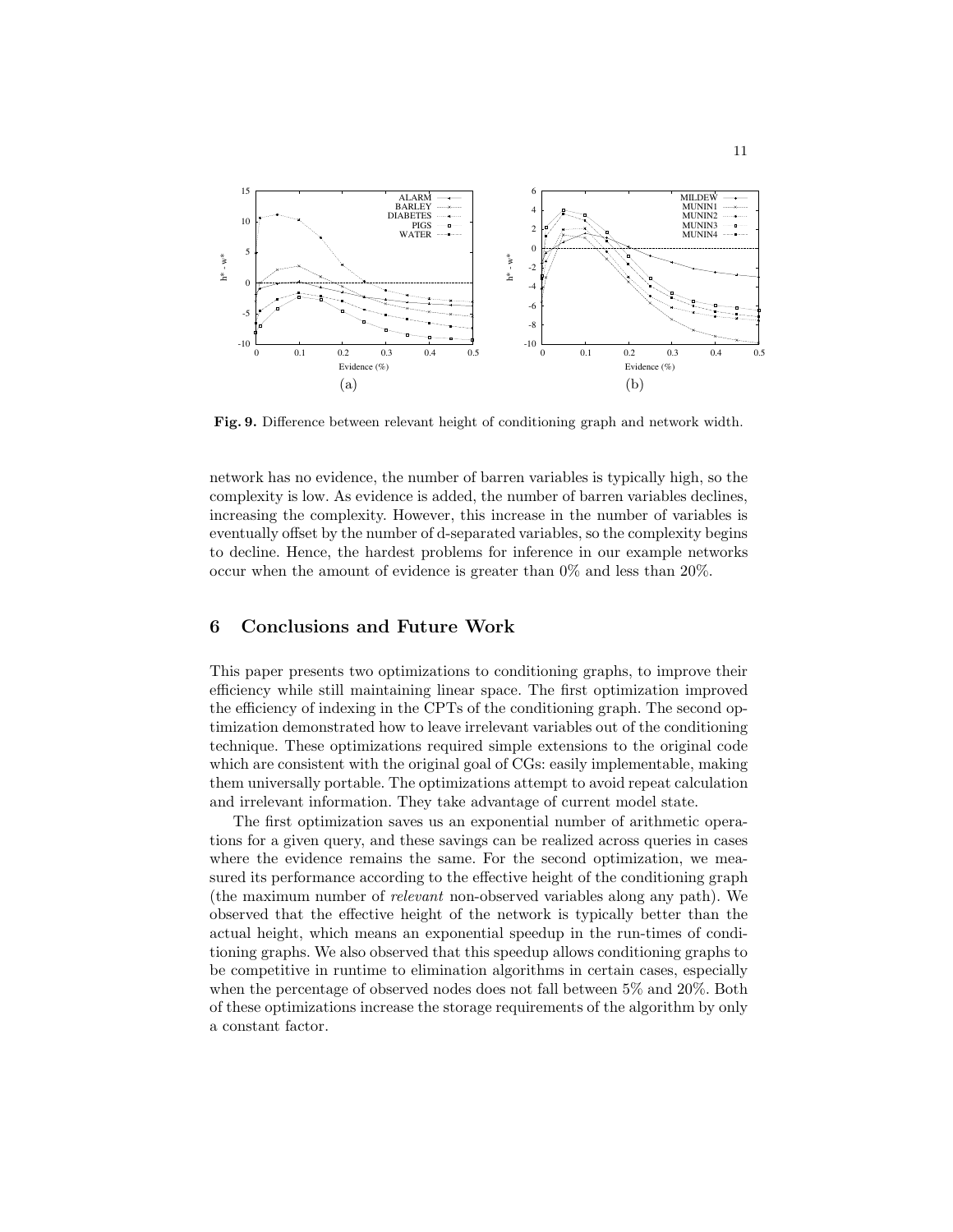![](_page_10_Figure_0.jpeg)

Fig. 9. Difference between relevant height of conditioning graph and network width.

network has no evidence, the number of barren variables is typically high, so the complexity is low. As evidence is added, the number of barren variables declines, increasing the complexity. However, this increase in the number of variables is eventually offset by the number of d-separated variables, so the complexity begins to decline. Hence, the hardest problems for inference in our example networks occur when the amount of evidence is greater than 0% and less than 20%.

# 6 Conclusions and Future Work

This paper presents two optimizations to conditioning graphs, to improve their efficiency while still maintaining linear space. The first optimization improved the efficiency of indexing in the CPTs of the conditioning graph. The second optimization demonstrated how to leave irrelevant variables out of the conditioning technique. These optimizations required simple extensions to the original code which are consistent with the original goal of CGs: easily implementable, making them universally portable. The optimizations attempt to avoid repeat calculation and irrelevant information. They take advantage of current model state.

The first optimization saves us an exponential number of arithmetic operations for a given query, and these savings can be realized across queries in cases where the evidence remains the same. For the second optimization, we measured its performance according to the effective height of the conditioning graph (the maximum number of relevant non-observed variables along any path). We observed that the effective height of the network is typically better than the actual height, which means an exponential speedup in the run-times of conditioning graphs. We also observed that this speedup allows conditioning graphs to be competitive in runtime to elimination algorithms in certain cases, especially when the percentage of observed nodes does not fall between 5% and 20%. Both of these optimizations increase the storage requirements of the algorithm by only a constant factor.